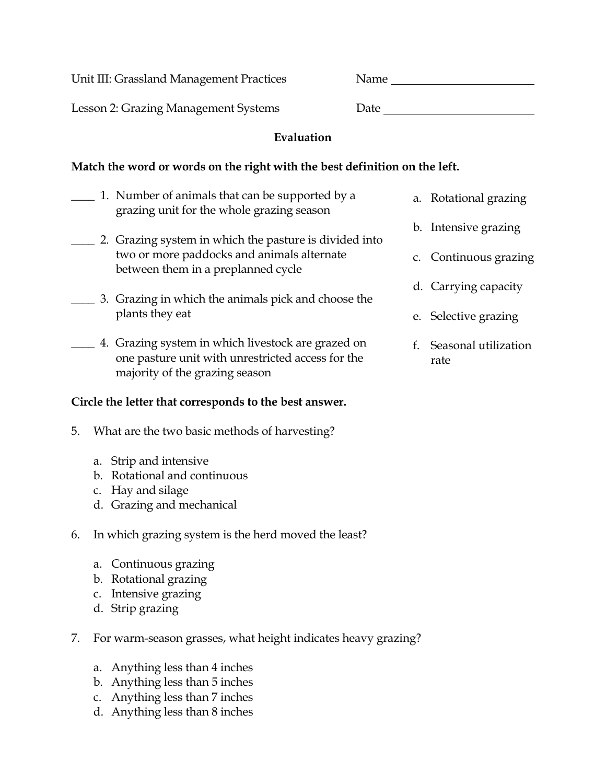Unit III: Grassland Management Practices

| Name |  |  |
|------|--|--|
|      |  |  |
| –    |  |  |

Lesson 2: Grazing Management Systems Date

## **Evaluation**

## **Match the word or words on the right with the best definition on the left.**

- \_\_\_\_ 1. Number of animals that can be supported by a grazing unit for the whole grazing season
- \_\_\_\_ 2. Grazing system in which the pasture is divided into two or more paddocks and animals alternate between them in a preplanned cycle
- \_\_\_\_ 3. Grazing in which the animals pick and choose the plants they eat
- \_\_\_\_ 4. Grazing system in which livestock are grazed on one pasture unit with unrestricted access for the majority of the grazing season

## **Circle the letter that corresponds to the best answer.**

- 5. What are the two basic methods of harvesting?
	- a. Strip and intensive
	- b. Rotational and continuous
	- c. Hay and silage
	- d. Grazing and mechanical
- 6. In which grazing system is the herd moved the least?
	- a. Continuous grazing
	- b. Rotational grazing
	- c. Intensive grazing
	- d. Strip grazing
- 7. For warm-season grasses, what height indicates heavy grazing?
	- a. Anything less than 4 inches
	- b. Anything less than 5 inches
	- c. Anything less than 7 inches
	- d. Anything less than 8 inches
- a. Rotational grazing
- b. Intensive grazing
- c. Continuous grazing
- d. Carrying capacity
- e. Selective grazing
- f. Seasonal utilization rate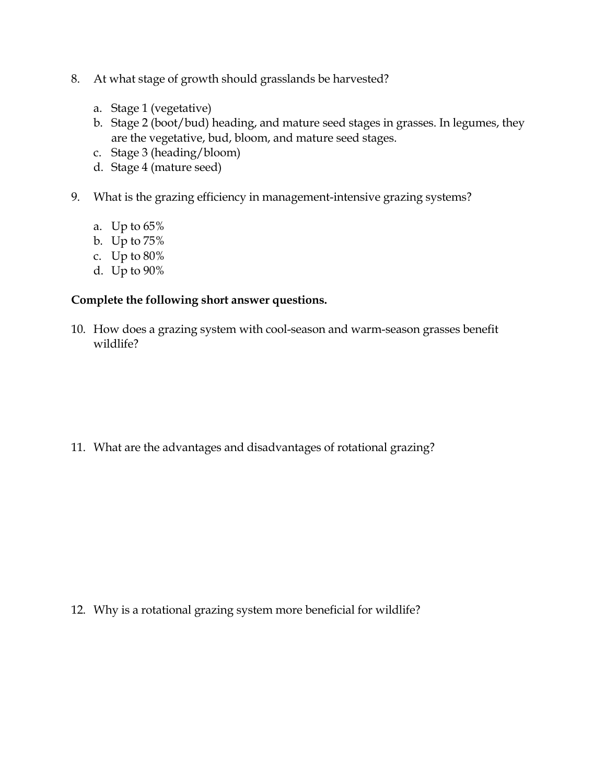- 8. At what stage of growth should grasslands be harvested?
	- a. Stage 1 (vegetative)
	- b. Stage 2 (boot/bud) heading, and mature seed stages in grasses. In legumes, they are the vegetative, bud, bloom, and mature seed stages.
	- c. Stage 3 (heading/bloom)
	- d. Stage 4 (mature seed)
- 9. What is the grazing efficiency in management-intensive grazing systems?
	- a. Up to 65%
	- b. Up to 75%
	- c. Up to 80%
	- d. Up to 90%

## **Complete the following short answer questions.**

10. How does a grazing system with cool-season and warm-season grasses benefit wildlife?

11. What are the advantages and disadvantages of rotational grazing?

12. Why is a rotational grazing system more beneficial for wildlife?